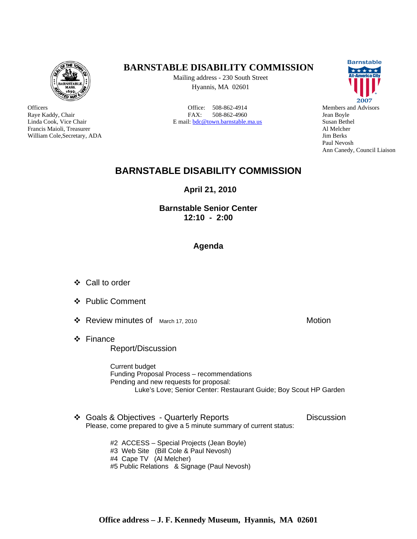

**Officers** Raye Kaddy, Chair Linda Cook, Vice Chair Francis Maioli, Treasurer William Cole,Secretary, ADA

## **BARNSTABLE DISABILITY COMMISSION**

Mailing address - 230 South Street Hyannis, MA 02601

Office: 508-862-4914 FAX: 508-862-4960 E mail: bdc@town.barnstable.ma.us



Members and Advisors Jean Boyle Susan Bethel Al Melcher Jim Berks Paul Nevosh Ann Canedy, Council Liaison

## **BARNSTABLE DISABILITY COMMISSION**

**April 21, 2010** 

## **Barnstable Senior Center 12:10 - 2:00**

## **Agenda**

- Call to order
- ❖ Public Comment
- ❖ Review minutes of March 17, 2010 Motion
- Finance Report/Discussion

 Current budget Funding Proposal Process – recommendations Pending and new requests for proposal: Luke's Love; Senior Center: Restaurant Guide; Boy Scout HP Garden

❖ Goals & Objectives - Quarterly Reports Discussion Please, come prepared to give a 5 minute summary of current status:

> #2 ACCESS – Special Projects (Jean Boyle) #3 Web Site (Bill Cole & Paul Nevosh) #4 Cape TV (Al Melcher) #5 Public Relations & Signage (Paul Nevosh)